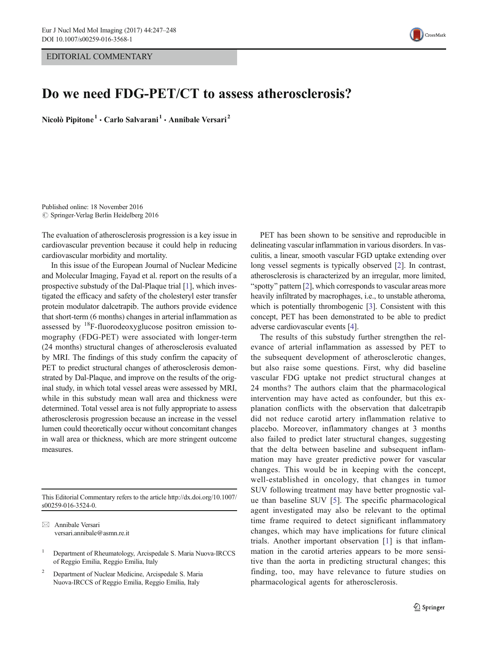EDITORIAL COMMENTARY



## Do we need FDG-PET/CT to assess atherosclerosis?

Nicolò Pipitone<sup>1</sup> · Carlo Salvarani<sup>1</sup> · Annibale Versari<sup>2</sup>

Published online: 18 November 2016  $\oslash$  Springer-Verlag Berlin Heidelberg 2016

The evaluation of atherosclerosis progression is a key issue in cardiovascular prevention because it could help in reducing cardiovascular morbidity and mortality.

In this issue of the European Journal of Nuclear Medicine and Molecular Imaging, Fayad et al. report on the results of a prospective substudy of the Dal-Plaque trial [\[1](#page-1-0)], which investigated the efficacy and safety of the cholesteryl ester transfer protein modulator dalcetrapib. The authors provide evidence that short-term (6 months) changes in arterial inflammation as assessed by  $^{18}$ F-fluorodeoxyglucose positron emission tomography (FDG-PET) were associated with longer-term (24 months) structural changes of atherosclerosis evaluated by MRI. The findings of this study confirm the capacity of PET to predict structural changes of atherosclerosis demonstrated by Dal-Plaque, and improve on the results of the original study, in which total vessel areas were assessed by MRI, while in this substudy mean wall area and thickness were determined. Total vessel area is not fully appropriate to assess atherosclerosis progression because an increase in the vessel lumen could theoretically occur without concomitant changes in wall area or thickness, which are more stringent outcome measures.

This Editorial Commentary refers to the article http://dx.doi.org[/10.1007/](http://dx.doi.org/10.1007/s00259-016-3524-0) [s00259-016-3524-0.](http://dx.doi.org/10.1007/s00259-016-3524-0)

 $\boxtimes$  Annibale Versari versari.annibale@asmn.re.it

<sup>2</sup> Department of Nuclear Medicine, Arcispedale S. Maria Nuova-IRCCS of Reggio Emilia, Reggio Emilia, Italy

PET has been shown to be sensitive and reproducible in delineating vascular inflammation in various disorders. In vasculitis, a linear, smooth vascular FGD uptake extending over long vessel segments is typically observed [\[2\]](#page-1-0). In contrast, atherosclerosis is characterized by an irregular, more limited, "spotty" pattern  $[2]$  $[2]$ , which corresponds to vascular areas more heavily infiltrated by macrophages, i.e., to unstable atheroma, which is potentially thrombogenic [\[3](#page-1-0)]. Consistent with this concept, PET has been demonstrated to be able to predict adverse cardiovascular events [[4](#page-1-0)].

The results of this substudy further strengthen the relevance of arterial inflammation as assessed by PET to the subsequent development of atherosclerotic changes, but also raise some questions. First, why did baseline vascular FDG uptake not predict structural changes at 24 months? The authors claim that the pharmacological intervention may have acted as confounder, but this explanation conflicts with the observation that dalcetrapib did not reduce carotid artery inflammation relative to placebo. Moreover, inflammatory changes at 3 months also failed to predict later structural changes, suggesting that the delta between baseline and subsequent inflammation may have greater predictive power for vascular changes. This would be in keeping with the concept, well-established in oncology, that changes in tumor SUV following treatment may have better prognostic value than baseline SUV [\[5\]](#page-1-0). The specific pharmacological agent investigated may also be relevant to the optimal time frame required to detect significant inflammatory changes, which may have implications for future clinical trials. Another important observation [\[1\]](#page-1-0) is that inflammation in the carotid arteries appears to be more sensitive than the aorta in predicting structural changes; this finding, too, may have relevance to future studies on pharmacological agents for atherosclerosis.

<sup>1</sup> Department of Rheumatology, Arcispedale S. Maria Nuova-IRCCS of Reggio Emilia, Reggio Emilia, Italy